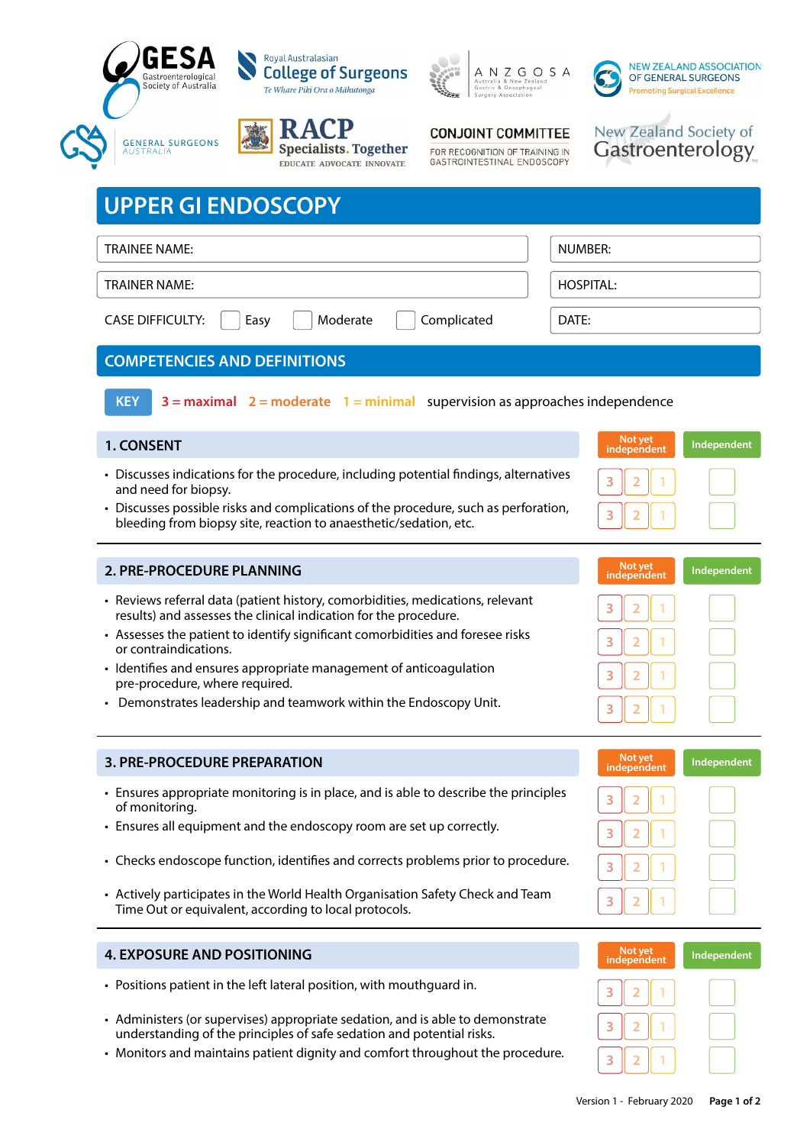



**Specialists. Together** 

EDUCATE ADVOCATE INNOVATE





New Zealand Society of

Gastroenterology

## **CONJOINT COMMITTEE**

FOR RECOGNITION OF TRAINING IN GASTROINTESTINAL ENDOSCOPY

| <b>UPPER GI ENDOSCOPY</b>                                                                                                                                                                                                                                                 |                                       |  |  |
|---------------------------------------------------------------------------------------------------------------------------------------------------------------------------------------------------------------------------------------------------------------------------|---------------------------------------|--|--|
| TRAINEE NAME:                                                                                                                                                                                                                                                             | <b>NUMBER:</b>                        |  |  |
| <b>TRAINER NAME:</b>                                                                                                                                                                                                                                                      | <b>HOSPITAL:</b>                      |  |  |
| <b>CASE DIFFICULTY:</b><br>Easy<br>Moderate<br>Complicated                                                                                                                                                                                                                | DATF:                                 |  |  |
| <b>COMPETENCIES AND DEFINITIONS</b>                                                                                                                                                                                                                                       |                                       |  |  |
| <b>KEY</b><br>$3 =$ maximal $2 =$ moderate $1 =$ minimal supervision as approaches independence                                                                                                                                                                           |                                       |  |  |
| 1. CONSENT                                                                                                                                                                                                                                                                | Not yet<br>Independent<br>independent |  |  |
| • Discusses indications for the procedure, including potential findings, alternatives<br>and need for biopsy.<br>• Discusses possible risks and complications of the procedure, such as perforation,<br>bleeding from biopsy site, reaction to anaesthetic/sedation, etc. | 3<br>3<br>2                           |  |  |
|                                                                                                                                                                                                                                                                           |                                       |  |  |
| <b>2. PRE-PROCEDURE PLANNING</b>                                                                                                                                                                                                                                          | Not yet<br>independent<br>Independent |  |  |
| • Reviews referral data (patient history, comorbidities, medications, relevant<br>results) and assesses the clinical indication for the procedure.<br>• Assesses the patient to identify significant comorbidities and foresee risks<br>or contraindications.             | 3<br>3<br>2                           |  |  |
| • Identifies and ensures appropriate management of anticoagulation<br>pre-procedure, where required.                                                                                                                                                                      | 3<br>2                                |  |  |
| • Demonstrates leadership and teamwork within the Endoscopy Unit.                                                                                                                                                                                                         | 3                                     |  |  |
| <b>3. PRE-PROCEDURE PREPARATION</b>                                                                                                                                                                                                                                       | Not yet<br>independent<br>Independent |  |  |
| • Ensures appropriate monitoring is in place, and is able to describe the principles<br>of monitoring.                                                                                                                                                                    | з                                     |  |  |
| • Ensures all equipment and the endoscopy room are set up correctly.                                                                                                                                                                                                      | 3                                     |  |  |
| • Checks endoscope function, identifies and corrects problems prior to procedure.                                                                                                                                                                                         | 3                                     |  |  |

### **4. EXPOSURE AND POSITIONING**

• Positions patient in the left lateral position, with mouthguard in.

 Time Out or equivalent, according to local protocols.

- Administers (or supervises) appropriate sedation, and is able to demonstrate understanding of the principles of safe sedation and potential risks.
- • Monitors and maintains patient dignity and comfort throughout the procedure.